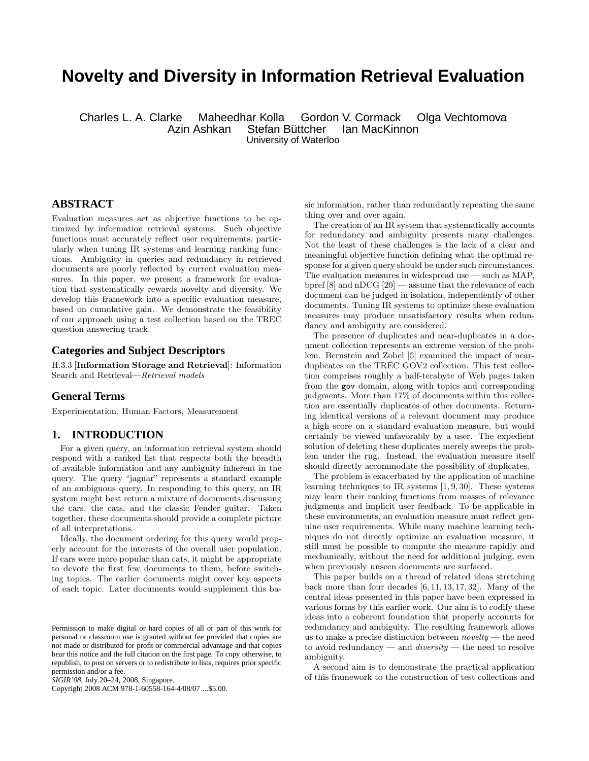# **Novelty and Diversity in Information Retrieval Evaluation**

Charles L. A. Clarke Maheedhar Kolla Gordon V. Cormack Olga Vechtomova Azin Ashkan Stefan Büttcher Ian MacKinnon University of Waterloo

# **ABSTRACT**

Evaluation measures act as objective functions to be optimized by information retrieval systems. Such objective functions must accurately reflect user requirements, particularly when tuning IR systems and learning ranking functions. Ambiguity in queries and redundancy in retrieved documents are poorly reflected by current evaluation measures. In this paper, we present a framework for evaluation that systematically rewards novelty and diversity. We develop this framework into a specific evaluation measure, based on cumulative gain. We demonstrate the feasibility of our approach using a test collection based on the TREC question answering track.

### **Categories and Subject Descriptors**

H.3.3 [Information Storage and Retrieval]: Information Search and Retrieval—Retrieval models

#### **General Terms**

Experimentation, Human Factors, Measurement

# **1. INTRODUCTION**

For a given query, an information retrieval system should respond with a ranked list that respects both the breadth of available information and any ambiguity inherent in the query. The query "jaguar" represents a standard example of an ambiguous query. In responding to this query, an IR system might best return a mixture of documents discussing the cars, the cats, and the classic Fender guitar. Taken together, these documents should provide a complete picture of all interpretations.

Ideally, the document ordering for this query would properly account for the interests of the overall user population. If cars were more popular than cats, it might be appropriate to devote the first few documents to them, before switching topics. The earlier documents might cover key aspects of each topic. Later documents would supplement this ba-

*SIGIR'08,* July 20–24, 2008, Singapore.

Copyright 2008 ACM 978-1-60558-164-4/08/07 ...\$5.00.

sic information, rather than redundantly repeating the same thing over and over again.

The creation of an IR system that systematically accounts for redundancy and ambiguity presents many challenges. Not the least of these challenges is the lack of a clear and meaningful objective function defining what the optimal response for a given query should be under such circumstances. The evaluation measures in widespread use — such as MAP, bpref [8] and nDCG [20] — assume that the relevance of each document can be judged in isolation, independently of other documents. Tuning IR systems to optimize these evaluation measures may produce unsatisfactory results when redundancy and ambiguity are considered.

The presence of duplicates and near-duplicates in a document collection represents an extreme version of the problem. Bernstein and Zobel [5] examined the impact of nearduplicates on the TREC GOV2 collection. This test collection comprises roughly a half-terabyte of Web pages taken from the gov domain, along with topics and corresponding judgments. More than 17% of documents within this collection are essentially duplicates of other documents. Returning identical versions of a relevant document may produce a high score on a standard evaluation measure, but would certainly be viewed unfavorably by a user. The expedient solution of deleting these duplicates merely sweeps the problem under the rug. Instead, the evaluation measure itself should directly accommodate the possibility of duplicates.

The problem is exacerbated by the application of machine learning techniques to IR systems [1, 9, 30]. These systems may learn their ranking functions from masses of relevance judgments and implicit user feedback. To be applicable in these environments, an evaluation measure must reflect genuine user requirements. While many machine learning techniques do not directly optimize an evaluation measure, it still must be possible to compute the measure rapidly and mechanically, without the need for additional judging, even when previously unseen documents are surfaced.

This paper builds on a thread of related ideas stretching back more than four decades [6, 11, 13, 17, 32]. Many of the central ideas presented in this paper have been expressed in various forms by this earlier work. Our aim is to codify these ideas into a coherent foundation that properly accounts for redundancy and ambiguity. The resulting framework allows us to make a precise distinction between  $novelly$  — the need to avoid redundancy — and  $diversitu$  — the need to resolve ambiguity.

A second aim is to demonstrate the practical application of this framework to the construction of test collections and

Permission to make digital or hard copies of all or part of this work for personal or classroom use is granted without fee provided that copies are not made or distributed for profit or commercial advantage and that copies bear this notice and the full citation on the first page. To copy otherwise, to republish, to post on servers or to redistribute to lists, requires prior specific permission and/or a fee.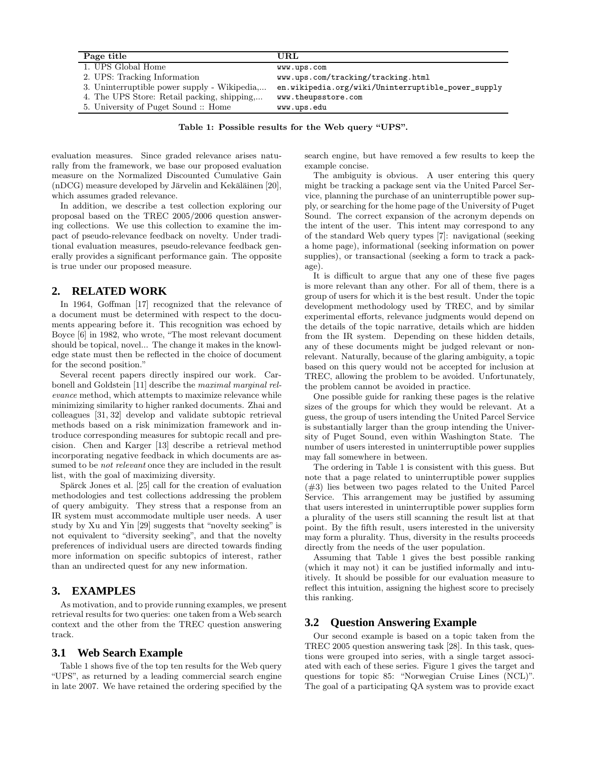| Page title                                  | URL                                                |
|---------------------------------------------|----------------------------------------------------|
| 1. UPS Global Home                          | www.ups.com                                        |
| 2. UPS: Tracking Information                | www.ups.com/tracking/tracking.html                 |
| 3. Uninterruptible power supply - Wikipedia | en.wikipedia.org/wiki/Uninterruptible_power_supply |
| 4. The UPS Store: Retail packing, shipping, | www.theupsstore.com                                |
| 5. University of Puget Sound :: Home        | www.ups.edu                                        |

Table 1: Possible results for the Web query "UPS".

evaluation measures. Since graded relevance arises naturally from the framework, we base our proposed evaluation measure on the Normalized Discounted Cumulative Gain (nDCG) measure developed by Järvelin and Kekäläinen  $[20]$ , which assumes graded relevance.

In addition, we describe a test collection exploring our proposal based on the TREC 2005/2006 question answering collections. We use this collection to examine the impact of pseudo-relevance feedback on novelty. Under traditional evaluation measures, pseudo-relevance feedback generally provides a significant performance gain. The opposite is true under our proposed measure.

### **2. RELATED WORK**

In 1964, Goffman [17] recognized that the relevance of a document must be determined with respect to the documents appearing before it. This recognition was echoed by Boyce [6] in 1982, who wrote, "The most relevant document should be topical, novel... The change it makes in the knowledge state must then be reflected in the choice of document for the second position."

Several recent papers directly inspired our work. Carbonell and Goldstein [11] describe the maximal marginal relevance method, which attempts to maximize relevance while minimizing similarity to higher ranked documents. Zhai and colleagues [31, 32] develop and validate subtopic retrieval methods based on a risk minimization framework and introduce corresponding measures for subtopic recall and precision. Chen and Karger [13] describe a retrieval method incorporating negative feedback in which documents are assumed to be *not relevant* once they are included in the result list, with the goal of maximizing diversity.

Spärck Jones et al.  $[25]$  call for the creation of evaluation methodologies and test collections addressing the problem of query ambiguity. They stress that a response from an IR system must accommodate multiple user needs. A user study by Xu and Yin [29] suggests that "novelty seeking" is not equivalent to "diversity seeking", and that the novelty preferences of individual users are directed towards finding more information on specific subtopics of interest, rather than an undirected quest for any new information.

#### **3. EXAMPLES**

As motivation, and to provide running examples, we present retrieval results for two queries: one taken from a Web search context and the other from the TREC question answering track.

#### **3.1 Web Search Example**

Table 1 shows five of the top ten results for the Web query "UPS", as returned by a leading commercial search engine in late 2007. We have retained the ordering specified by the search engine, but have removed a few results to keep the example concise.

The ambiguity is obvious. A user entering this query might be tracking a package sent via the United Parcel Service, planning the purchase of an uninterruptible power supply, or searching for the home page of the University of Puget Sound. The correct expansion of the acronym depends on the intent of the user. This intent may correspond to any of the standard Web query types [7]: navigational (seeking a home page), informational (seeking information on power supplies), or transactional (seeking a form to track a package).

It is difficult to argue that any one of these five pages is more relevant than any other. For all of them, there is a group of users for which it is the best result. Under the topic development methodology used by TREC, and by similar experimental efforts, relevance judgments would depend on the details of the topic narrative, details which are hidden from the IR system. Depending on these hidden details, any of these documents might be judged relevant or nonrelevant. Naturally, because of the glaring ambiguity, a topic based on this query would not be accepted for inclusion at TREC, allowing the problem to be avoided. Unfortunately, the problem cannot be avoided in practice.

One possible guide for ranking these pages is the relative sizes of the groups for which they would be relevant. At a guess, the group of users intending the United Parcel Service is substantially larger than the group intending the University of Puget Sound, even within Washington State. The number of users interested in uninterruptible power supplies may fall somewhere in between.

The ordering in Table 1 is consistent with this guess. But note that a page related to uninterruptible power supplies (#3) lies between two pages related to the United Parcel Service. This arrangement may be justified by assuming that users interested in uninterruptible power supplies form a plurality of the users still scanning the result list at that point. By the fifth result, users interested in the university may form a plurality. Thus, diversity in the results proceeds directly from the needs of the user population.

Assuming that Table 1 gives the best possible ranking (which it may not) it can be justified informally and intuitively. It should be possible for our evaluation measure to reflect this intuition, assigning the highest score to precisely this ranking.

#### **3.2 Question Answering Example**

Our second example is based on a topic taken from the TREC 2005 question answering task [28]. In this task, questions were grouped into series, with a single target associated with each of these series. Figure 1 gives the target and questions for topic 85: "Norwegian Cruise Lines (NCL)". The goal of a participating QA system was to provide exact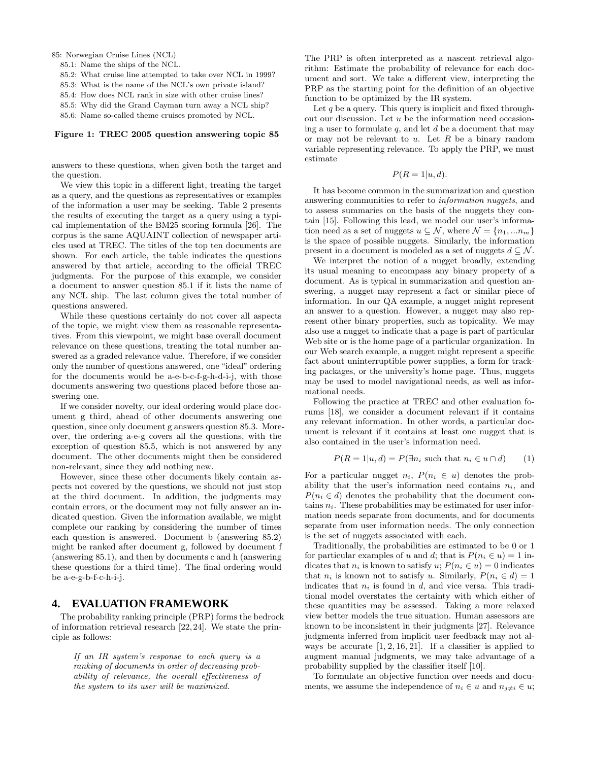85: Norwegian Cruise Lines (NCL)

- 85.1: Name the ships of the NCL.
- 85.2: What cruise line attempted to take over NCL in 1999?
- 85.3: What is the name of the NCL's own private island?
- 85.4: How does NCL rank in size with other cruise lines?
- 85.5: Why did the Grand Cayman turn away a NCL ship?
- 85.6: Name so-called theme cruises promoted by NCL.

#### Figure 1: TREC 2005 question answering topic 85

answers to these questions, when given both the target and the question.

We view this topic in a different light, treating the target as a query, and the questions as representatives or examples of the information a user may be seeking. Table 2 presents the results of executing the target as a query using a typical implementation of the BM25 scoring formula [26]. The corpus is the same AQUAINT collection of newspaper articles used at TREC. The titles of the top ten documents are shown. For each article, the table indicates the questions answered by that article, according to the official TREC judgments. For the purpose of this example, we consider a document to answer question 85.1 if it lists the name of any NCL ship. The last column gives the total number of questions answered.

While these questions certainly do not cover all aspects of the topic, we might view them as reasonable representatives. From this viewpoint, we might base overall document relevance on these questions, treating the total number answered as a graded relevance value. Therefore, if we consider only the number of questions answered, one "ideal" ordering for the documents would be a-e-b-c-f-g-h-d-i-j, with those documents answering two questions placed before those answering one.

If we consider novelty, our ideal ordering would place document g third, ahead of other documents answering one question, since only document g answers question 85.3. Moreover, the ordering a-e-g covers all the questions, with the exception of question 85.5, which is not answered by any document. The other documents might then be considered non-relevant, since they add nothing new.

However, since these other documents likely contain aspects not covered by the questions, we should not just stop at the third document. In addition, the judgments may contain errors, or the document may not fully answer an indicated question. Given the information available, we might complete our ranking by considering the number of times each question is answered. Document b (answering 85.2) might be ranked after document g, followed by document f (answering 85.1), and then by documents c and h (answering these questions for a third time). The final ordering would be a-e-g-b-f-c-h-i-j.

# **4. EVALUATION FRAMEWORK**

The probability ranking principle (PRP) forms the bedrock of information retrieval research [22, 24]. We state the principle as follows:

If an IR system's response to each query is a ranking of documents in order of decreasing probability of relevance, the overall effectiveness of the system to its user will be maximized.

The PRP is often interpreted as a nascent retrieval algorithm: Estimate the probability of relevance for each document and sort. We take a different view, interpreting the PRP as the starting point for the definition of an objective function to be optimized by the IR system.

Let  $q$  be a query. This query is implicit and fixed throughout our discussion. Let u be the information need occasioning a user to formulate  $q$ , and let  $d$  be a document that may or may not be relevant to  $u$ . Let  $R$  be a binary random variable representing relevance. To apply the PRP, we must estimate

$$
P(R=1|u,d).
$$

It has become common in the summarization and question answering communities to refer to information nuggets, and to assess summaries on the basis of the nuggets they contain [15]. Following this lead, we model our user's information need as a set of nuggets  $u \subset \mathcal{N}$ , where  $\mathcal{N} = \{n_1, ... n_m\}$ is the space of possible nuggets. Similarly, the information present in a document is modeled as a set of nuggets  $d \subset \mathcal{N}$ .

We interpret the notion of a nugget broadly, extending its usual meaning to encompass any binary property of a document. As is typical in summarization and question answering, a nugget may represent a fact or similar piece of information. In our QA example, a nugget might represent an answer to a question. However, a nugget may also represent other binary properties, such as topicality. We may also use a nugget to indicate that a page is part of particular Web site or is the home page of a particular organization. In our Web search example, a nugget might represent a specific fact about uninterruptible power supplies, a form for tracking packages, or the university's home page. Thus, nuggets may be used to model navigational needs, as well as informational needs.

Following the practice at TREC and other evaluation forums [18], we consider a document relevant if it contains any relevant information. In other words, a particular document is relevant if it contains at least one nugget that is also contained in the user's information need.

$$
P(R = 1|u, d) = P(\exists n_i \text{ such that } n_i \in u \cap d)
$$
 (1)

For a particular nugget  $n_i$ ,  $P(n_i \in u)$  denotes the probability that the user's information need contains  $n_i$ , and  $P(n_i \in d)$  denotes the probability that the document contains  $n_i$ . These probabilities may be estimated for user information needs separate from documents, and for documents separate from user information needs. The only connection is the set of nuggets associated with each.

Traditionally, the probabilities are estimated to be 0 or 1 for particular examples of u and d; that is  $P(n_i \in u) = 1$  indicates that  $n_i$  is known to satisfy u;  $P(n_i \in u) = 0$  indicates that  $n_i$  is known not to satisfy u. Similarly,  $P(n_i \in d) = 1$ indicates that  $n_i$  is found in d, and vice versa. This traditional model overstates the certainty with which either of these quantities may be assessed. Taking a more relaxed view better models the true situation. Human assessors are known to be inconsistent in their judgments [27]. Relevance judgments inferred from implicit user feedback may not always be accurate  $[1, 2, 16, 21]$ . If a classifier is applied to augment manual judgments, we may take advantage of a probability supplied by the classifier itself [10].

To formulate an objective function over needs and documents, we assume the independence of  $n_i \in u$  and  $n_{i\neq i} \in u$ ;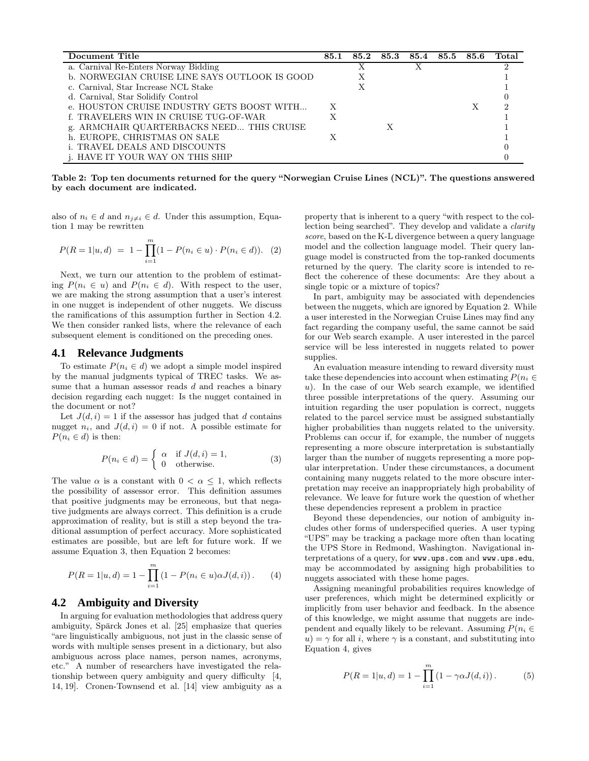| Document Title                                       | 85.1 | 85.2 | 85.3 85.4 85.5 85.6 |  | Total |
|------------------------------------------------------|------|------|---------------------|--|-------|
| a. Carnival Re-Enters Norway Bidding                 |      |      |                     |  |       |
| <b>b. NORWEGIAN CRUISE LINE SAYS OUTLOOK IS GOOD</b> |      |      |                     |  |       |
| c. Carnival, Star Increase NCL Stake                 |      | Х    |                     |  |       |
| d. Carnival, Star Solidify Control                   |      |      |                     |  |       |
| e. HOUSTON CRUISE INDUSTRY GETS BOOST WITH           |      |      |                     |  |       |
| f. TRAVELERS WIN IN CRUISE TUG-OF-WAR                |      |      |                     |  |       |
| g. ARMCHAIR QUARTERBACKS NEED THIS CRUISE            |      |      |                     |  |       |
| h. EUROPE, CHRISTMAS ON SALE                         |      |      |                     |  |       |
| <i>i.</i> TRAVEL DEALS AND DISCOUNTS                 |      |      |                     |  |       |
| <i>i. HAVE IT YOUR WAY ON THIS SHIP</i>              |      |      |                     |  |       |

Table 2: Top ten documents returned for the query "Norwegian Cruise Lines (NCL)". The questions answered by each document are indicated.

also of  $n_i \in d$  and  $n_{j\neq i} \in d$ . Under this assumption, Equation 1 may be rewritten

$$
P(R = 1|u, d) = 1 - \prod_{i=1}^{m} (1 - P(n_i \in u) \cdot P(n_i \in d)). \tag{2}
$$

Next, we turn our attention to the problem of estimating  $P(n_i \in u)$  and  $P(n_i \in d)$ . With respect to the user, we are making the strong assumption that a user's interest in one nugget is independent of other nuggets. We discuss the ramifications of this assumption further in Section 4.2. We then consider ranked lists, where the relevance of each subsequent element is conditioned on the preceding ones.

#### **4.1 Relevance Judgments**

To estimate  $P(n_i \in d)$  we adopt a simple model inspired by the manual judgments typical of TREC tasks. We assume that a human assessor reads  $d$  and reaches a binary decision regarding each nugget: Is the nugget contained in the document or not?

Let  $J(d, i) = 1$  if the assessor has judged that d contains nugget  $n_i$ , and  $J(d, i) = 0$  if not. A possible estimate for  $P(n_i \in d)$  is then:

$$
P(n_i \in d) = \begin{cases} \alpha & \text{if } J(d, i) = 1, \\ 0 & \text{otherwise.} \end{cases}
$$
 (3)

The value  $\alpha$  is a constant with  $0 < \alpha \leq 1$ , which reflects the possibility of assessor error. This definition assumes that positive judgments may be erroneous, but that negative judgments are always correct. This definition is a crude approximation of reality, but is still a step beyond the traditional assumption of perfect accuracy. More sophisticated estimates are possible, but are left for future work. If we assume Equation 3, then Equation 2 becomes:

$$
P(R = 1|u, d) = 1 - \prod_{i=1}^{m} (1 - P(n_i \in u)\alpha J(d, i)). \tag{4}
$$

#### **4.2 Ambiguity and Diversity**

In arguing for evaluation methodologies that address query ambiguity, Spärck Jones et al. [25] emphasize that queries "are linguistically ambiguous, not just in the classic sense of words with multiple senses present in a dictionary, but also ambiguous across place names, person names, acronyms, etc." A number of researchers have investigated the relationship between query ambiguity and query difficulty [4, 14, 19]. Cronen-Townsend et al. [14] view ambiguity as a

property that is inherent to a query "with respect to the collection being searched". They develop and validate a clarity score, based on the K-L divergence between a query language model and the collection language model. Their query language model is constructed from the top-ranked documents returned by the query. The clarity score is intended to reflect the coherence of these documents: Are they about a single topic or a mixture of topics?

In part, ambiguity may be associated with dependencies between the nuggets, which are ignored by Equation 2. While a user interested in the Norwegian Cruise Lines may find any fact regarding the company useful, the same cannot be said for our Web search example. A user interested in the parcel service will be less interested in nuggets related to power supplies.

An evaluation measure intending to reward diversity must take these dependencies into account when estimating  $P(n_i \in$ u). In the case of our Web search example, we identified three possible interpretations of the query. Assuming our intuition regarding the user population is correct, nuggets related to the parcel service must be assigned substantially higher probabilities than nuggets related to the university. Problems can occur if, for example, the number of nuggets representing a more obscure interpretation is substantially larger than the number of nuggets representing a more popular interpretation. Under these circumstances, a document containing many nuggets related to the more obscure interpretation may receive an inappropriately high probability of relevance. We leave for future work the question of whether these dependencies represent a problem in practice

Beyond these dependencies, our notion of ambiguity includes other forms of underspecified queries. A user typing "UPS" may be tracking a package more often than locating the UPS Store in Redmond, Washington. Navigational interpretations of a query, for www.ups.com and www.ups.edu, may be accommodated by assigning high probabilities to nuggets associated with these home pages.

Assigning meaningful probabilities requires knowledge of user preferences, which might be determined explicitly or implicitly from user behavior and feedback. In the absence of this knowledge, we might assume that nuggets are independent and equally likely to be relevant. Assuming  $P(n_i \in$  $u$ ) =  $\gamma$  for all *i*, where  $\gamma$  is a constant, and substituting into Equation 4, gives

$$
P(R = 1|u, d) = 1 - \prod_{i=1}^{m} (1 - \gamma \alpha J(d, i)).
$$
 (5)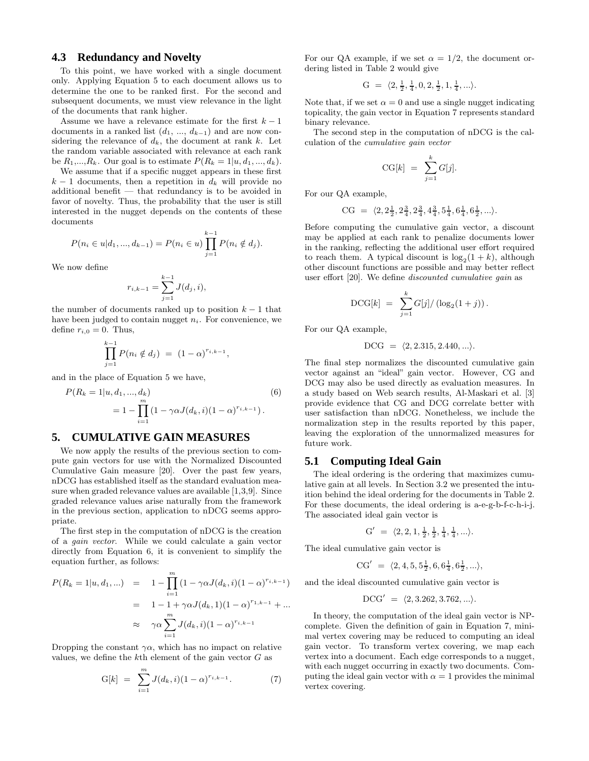#### **4.3 Redundancy and Novelty**

To this point, we have worked with a single document only. Applying Equation 5 to each document allows us to determine the one to be ranked first. For the second and subsequent documents, we must view relevance in the light of the documents that rank higher.

Assume we have a relevance estimate for the first  $k - 1$ documents in a ranked list  $(d_1, ..., d_{k-1})$  and are now considering the relevance of  $d_k$ , the document at rank k. Let the random variable associated with relevance at each rank be  $R_1,...,R_k$ . Our goal is to estimate  $P(R_k = 1 | u, d_1, ..., d_k)$ .

We assume that if a specific nugget appears in these first  $k-1$  documents, then a repetition in  $d_k$  will provide no additional benefit — that redundancy is to be avoided in favor of novelty. Thus, the probability that the user is still interested in the nugget depends on the contents of these documents

$$
P(n_i \in u | d_1, ..., d_{k-1}) = P(n_i \in u) \prod_{j=1}^{k-1} P(n_i \notin d_j).
$$

We now define

$$
r_{i,k-1} = \sum_{j=1}^{k-1} J(d_j, i),
$$

the number of documents ranked up to position  $k-1$  that have been judged to contain nugget  $n_i$ . For convenience, we define  $r_{i,0} = 0$ . Thus,

$$
\prod_{j=1}^{k-1} P(n_i \notin d_j) = (1-\alpha)^{r_{i,k-1}},
$$

and in the place of Equation 5 we have,

$$
P(R_k = 1 | u, d_1, ..., d_k)
$$
\n
$$
= 1 - \prod_{i=1}^{m} (1 - \gamma \alpha J(d_k, i)(1 - \alpha)^{r_{i,k-1}}).
$$
\n(6)

#### **5. CUMULATIVE GAIN MEASURES**

We now apply the results of the previous section to compute gain vectors for use with the Normalized Discounted Cumulative Gain measure [20]. Over the past few years, nDCG has established itself as the standard evaluation measure when graded relevance values are available [1,3,9]. Since graded relevance values arise naturally from the framework in the previous section, application to nDCG seems appropriate.

The first step in the computation of nDCG is the creation of a gain vector. While we could calculate a gain vector directly from Equation 6, it is convenient to simplify the equation further, as follows:

$$
P(R_k = 1 | u, d_1, ...)
$$
  
=  $1 - \prod_{i=1}^{m} (1 - \gamma \alpha J(d_k, i) (1 - \alpha)^{r_{i,k-1}})$   
=  $1 - 1 + \gamma \alpha J(d_k, 1) (1 - \alpha)^{r_{1,k-1}} + ...$   
 $\approx \gamma \alpha \sum_{i=1}^{m} J(d_k, i) (1 - \alpha)^{r_{i,k-1}}$ 

Dropping the constant  $\gamma \alpha$ , which has no impact on relative values, we define the kth element of the gain vector G as

$$
G[k] = \sum_{i=1}^{m} J(d_k, i)(1-\alpha)^{r_{i,k-1}}.
$$
 (7)

For our QA example, if we set  $\alpha = 1/2$ , the document ordering listed in Table 2 would give

$$
G = \langle 2, \frac{1}{2}, \frac{1}{4}, 0, 2, \frac{1}{2}, 1, \frac{1}{4}, \ldots \rangle.
$$

Note that, if we set  $\alpha = 0$  and use a single nugget indicating topicality, the gain vector in Equation 7 represents standard binary relevance.

The second step in the computation of nDCG is the calculation of the cumulative gain vector

$$
CG[k] = \sum_{j=1}^{k} G[j].
$$

For our QA example,

$$
CG = \langle 2, 2\frac{1}{2}, 2\frac{3}{4}, 2\frac{3}{4}, 4\frac{3}{4}, 5\frac{1}{4}, 6\frac{1}{4}, 6\frac{1}{2}, \ldots \rangle.
$$

Before computing the cumulative gain vector, a discount may be applied at each rank to penalize documents lower in the ranking, reflecting the additional user effort required to reach them. A typical discount is  $\log_2(1+k)$ , although other discount functions are possible and may better reflect user effort [20]. We define discounted cumulative gain as

$$
DCG[k] = \sum_{j=1}^{k} G[j] / (\log_2(1+j)).
$$

For our QA example,

$$
DCG = \langle 2, 2.315, 2.440, \ldots \rangle.
$$

The final step normalizes the discounted cumulative gain vector against an "ideal" gain vector. However, CG and DCG may also be used directly as evaluation measures. In a study based on Web search results, Al-Maskari et al. [3] provide evidence that CG and DCG correlate better with user satisfaction than nDCG. Nonetheless, we include the normalization step in the results reported by this paper, leaving the exploration of the unnormalized measures for future work.

#### **5.1 Computing Ideal Gain**

The ideal ordering is the ordering that maximizes cumulative gain at all levels. In Section 3.2 we presented the intuition behind the ideal ordering for the documents in Table 2. For these documents, the ideal ordering is a-e-g-b-f-c-h-i-j. The associated ideal gain vector is

$$
G' = \langle 2, 2, 1, \frac{1}{2}, \frac{1}{2}, \frac{1}{4}, \frac{1}{4}, \ldots \rangle.
$$

The ideal cumulative gain vector is

$$
CG' = \langle 2, 4, 5, 5\frac{1}{2}, 6, 6\frac{1}{4}, 6\frac{1}{2}, \ldots \rangle,
$$

and the ideal discounted cumulative gain vector is

$$
DCG' = \langle 2, 3.262, 3.762, \ldots \rangle.
$$

In theory, the computation of the ideal gain vector is NPcomplete. Given the definition of gain in Equation 7, minimal vertex covering may be reduced to computing an ideal gain vector. To transform vertex covering, we map each vertex into a document. Each edge corresponds to a nugget, with each nugget occurring in exactly two documents. Computing the ideal gain vector with  $\alpha = 1$  provides the minimal vertex covering.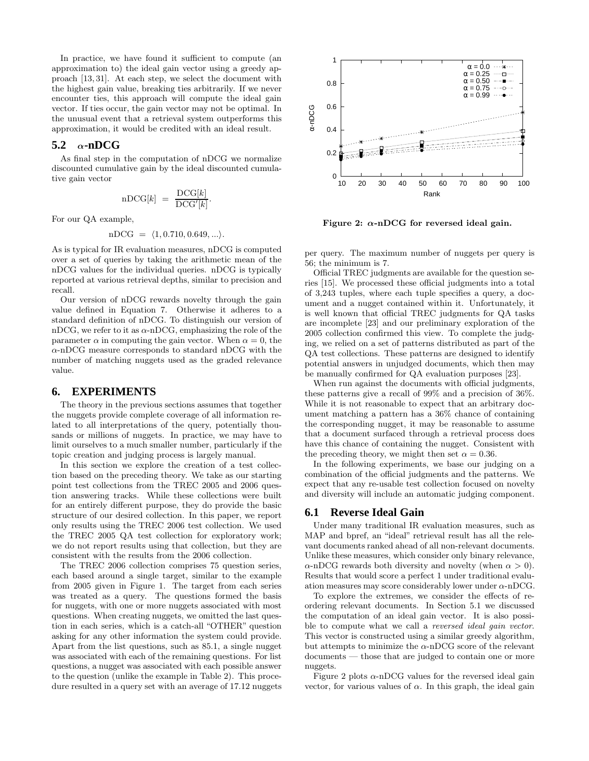In practice, we have found it sufficient to compute (an approximation to) the ideal gain vector using a greedy approach [13, 31]. At each step, we select the document with the highest gain value, breaking ties arbitrarily. If we never encounter ties, this approach will compute the ideal gain vector. If ties occur, the gain vector may not be optimal. In the unusual event that a retrieval system outperforms this approximation, it would be credited with an ideal result.

#### 5.2  $\alpha$ -nDCG

As final step in the computation of nDCG we normalize discounted cumulative gain by the ideal discounted cumulative gain vector

$$
\mathrm{nDCG}[k] = \frac{\mathrm{DCG}[k]}{\mathrm{DCG'}[k]}
$$

.

For our QA example,

$$
nDCG = \langle 1, 0.710, 0.649, ...\rangle.
$$

As is typical for IR evaluation measures, nDCG is computed over a set of queries by taking the arithmetic mean of the nDCG values for the individual queries. nDCG is typically reported at various retrieval depths, similar to precision and recall.

Our version of nDCG rewards novelty through the gain value defined in Equation 7. Otherwise it adheres to a standard definition of nDCG. To distinguish our version of nDCG, we refer to it as  $\alpha$ -nDCG, emphasizing the role of the parameter  $\alpha$  in computing the gain vector. When  $\alpha = 0$ , the  $\alpha$ -nDCG measure corresponds to standard nDCG with the number of matching nuggets used as the graded relevance value.

#### **6. EXPERIMENTS**

The theory in the previous sections assumes that together the nuggets provide complete coverage of all information related to all interpretations of the query, potentially thousands or millions of nuggets. In practice, we may have to limit ourselves to a much smaller number, particularly if the topic creation and judging process is largely manual.

In this section we explore the creation of a test collection based on the preceding theory. We take as our starting point test collections from the TREC 2005 and 2006 question answering tracks. While these collections were built for an entirely different purpose, they do provide the basic structure of our desired collection. In this paper, we report only results using the TREC 2006 test collection. We used the TREC 2005 QA test collection for exploratory work; we do not report results using that collection, but they are consistent with the results from the 2006 collection.

The TREC 2006 collection comprises 75 question series, each based around a single target, similar to the example from 2005 given in Figure 1. The target from each series was treated as a query. The questions formed the basis for nuggets, with one or more nuggets associated with most questions. When creating nuggets, we omitted the last question in each series, which is a catch-all "OTHER" question asking for any other information the system could provide. Apart from the list questions, such as 85.1, a single nugget was associated with each of the remaining questions. For list questions, a nugget was associated with each possible answer to the question (unlike the example in Table 2). This procedure resulted in a query set with an average of 17.12 nuggets



Figure 2:  $\alpha$ -nDCG for reversed ideal gain.

per query. The maximum number of nuggets per query is 56; the minimum is 7.

Official TREC judgments are available for the question series [15]. We processed these official judgments into a total of 3,243 tuples, where each tuple specifies a query, a document and a nugget contained within it. Unfortunately, it is well known that official TREC judgments for QA tasks are incomplete [23] and our preliminary exploration of the 2005 collection confirmed this view. To complete the judging, we relied on a set of patterns distributed as part of the QA test collections. These patterns are designed to identify potential answers in unjudged documents, which then may be manually confirmed for QA evaluation purposes [23].

When run against the documents with official judgments, these patterns give a recall of 99% and a precision of 36%. While it is not reasonable to expect that an arbitrary document matching a pattern has a 36% chance of containing the corresponding nugget, it may be reasonable to assume that a document surfaced through a retrieval process does have this chance of containing the nugget. Consistent with the preceding theory, we might then set  $\alpha = 0.36$ .

In the following experiments, we base our judging on a combination of the official judgments and the patterns. We expect that any re-usable test collection focused on novelty and diversity will include an automatic judging component.

# **6.1 Reverse Ideal Gain**

Under many traditional IR evaluation measures, such as MAP and bpref, an "ideal" retrieval result has all the relevant documents ranked ahead of all non-relevant documents. Unlike these measures, which consider only binary relevance,  $\alpha$ -nDCG rewards both diversity and novelty (when  $\alpha > 0$ ). Results that would score a perfect 1 under traditional evaluation measures may score considerably lower under  $\alpha$ -nDCG.

To explore the extremes, we consider the effects of reordering relevant documents. In Section 5.1 we discussed the computation of an ideal gain vector. It is also possible to compute what we call a reversed ideal gain vector. This vector is constructed using a similar greedy algorithm, but attempts to minimize the  $\alpha$ -nDCG score of the relevant documents — those that are judged to contain one or more nuggets.

Figure 2 plots  $\alpha$ -nDCG values for the reversed ideal gain vector, for various values of  $\alpha$ . In this graph, the ideal gain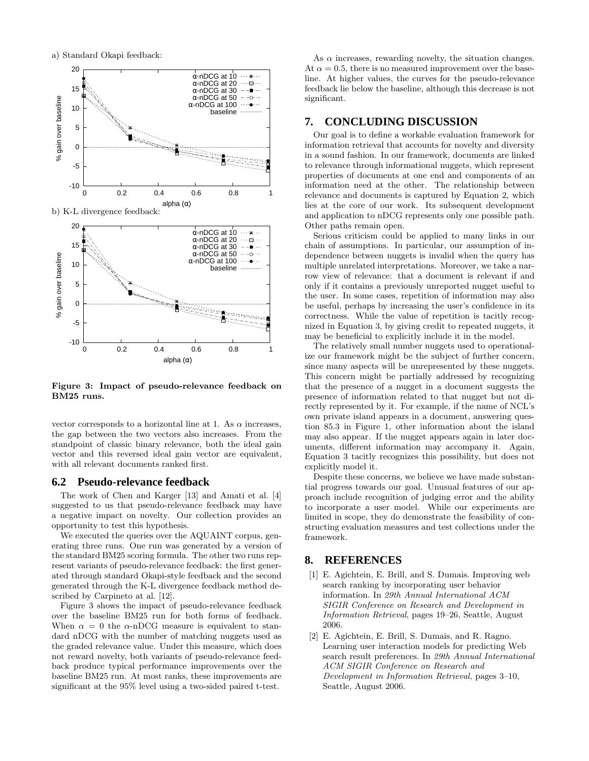

b) K-L divergence feedback:



Figure 3: Impact of pseudo-relevance feedback on BM25 runs.

vector corresponds to a horizontal line at 1. As  $\alpha$  increases, the gap between the two vectors also increases. From the standpoint of classic binary relevance, both the ideal gain vector and this reversed ideal gain vector are equivalent, with all relevant documents ranked first.

#### **6.2 Pseudo-relevance feedback**

The work of Chen and Karger [13] and Amati et al. [4] suggested to us that pseudo-relevance feedback may have a negative impact on novelty. Our collection provides an opportunity to test this hypothesis.

We executed the queries over the AQUAINT corpus, generating three runs. One run was generated by a version of the standard BM25 scoring formula. The other two runs represent variants of pseudo-relevance feedback: the first generated through standard Okapi-style feedback and the second generated through the K-L divergence feedback method described by Carpineto at al. [12].

Figure 3 shows the impact of pseudo-relevance feedback over the baseline BM25 run for both forms of feedback. When  $\alpha = 0$  the  $\alpha$ -nDCG measure is equivalent to standard nDCG with the number of matching nuggets used as the graded relevance value. Under this measure, which does not reward novelty, both variants of pseudo-relevance feedback produce typical performance improvements over the baseline BM25 run. At most ranks, these improvements are significant at the 95% level using a two-sided paired t-test.

As  $\alpha$  increases, rewarding novelty, the situation changes. At  $\alpha = 0.5$ , there is no measured improvement over the baseline. At higher values, the curves for the pseudo-relevance feedback lie below the baseline, although this decrease is not significant.

### **7. CONCLUDING DISCUSSION**

Our goal is to define a workable evaluation framework for information retrieval that accounts for novelty and diversity in a sound fashion. In our framework, documents are linked to relevance through informational nuggets, which represent properties of documents at one end and components of an information need at the other. The relationship between relevance and documents is captured by Equation 2, which lies at the core of our work. Its subsequent development and application to nDCG represents only one possible path. Other paths remain open.

Serious criticism could be applied to many links in our chain of assumptions. In particular, our assumption of independence between nuggets is invalid when the query has multiple unrelated interpretations. Moreover, we take a narrow view of relevance: that a document is relevant if and only if it contains a previously unreported nugget useful to the user. In some cases, repetition of information may also be useful, perhaps by increasing the user's confidence in its correctness. While the value of repetition is tacitly recognized in Equation 3, by giving credit to repeated nuggets, it may be beneficial to explicitly include it in the model.

The relatively small number nuggets used to operationalize our framework might be the subject of further concern, since many aspects will be unrepresented by these nuggets. This concern might be partially addressed by recognizing that the presence of a nugget in a document suggests the presence of information related to that nugget but not directly represented by it. For example, if the name of NCL's own private island appears in a document, answering question 85.3 in Figure 1, other information about the island may also appear. If the nugget appears again in later documents, different information may accompany it. Again, Equation 3 tacitly recognizes this possibility, but does not explicitly model it.

Despite these concerns, we believe we have made substantial progress towards our goal. Unusual features of our approach include recognition of judging error and the ability to incorporate a user model. While our experiments are limited in scope, they do demonstrate the feasibility of constructing evaluation measures and test collections under the framework.

## **8. REFERENCES**

- [1] E. Agichtein, E. Brill, and S. Dumais. Improving web search ranking by incorporating user behavior information. In 29th Annual International ACM SIGIR Conference on Research and Development in Information Retrieval, pages 19–26, Seattle, August 2006.
- [2] E. Agichtein, E. Brill, S. Dumais, and R. Ragno. Learning user interaction models for predicting Web search result preferences. In 29th Annual International ACM SIGIR Conference on Research and Development in Information Retrieval, pages 3–10, Seattle, August 2006.